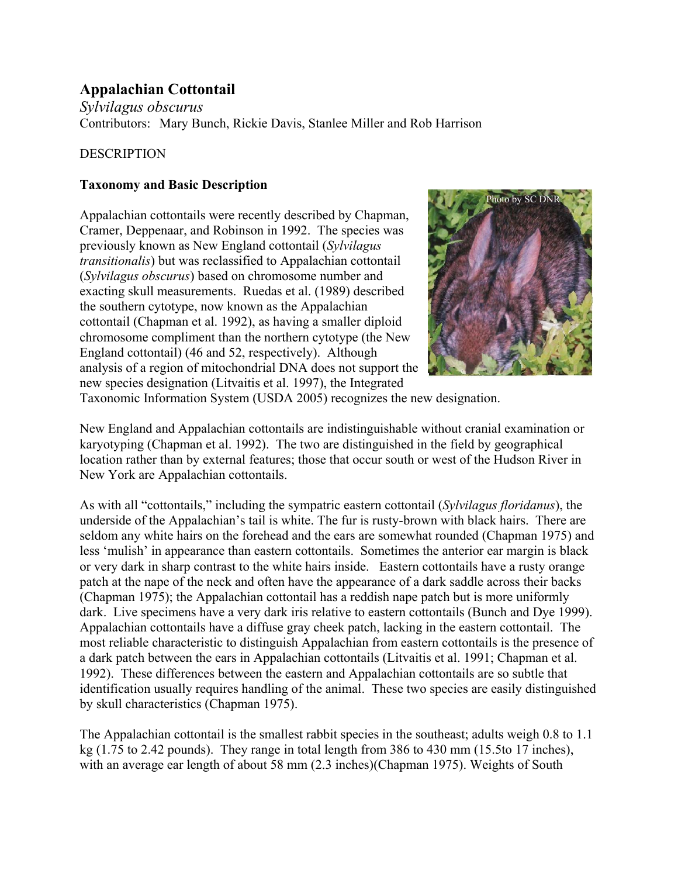# **Appalachian Cottontail**

*Sylvilagus obscurus* Contributors: Mary Bunch, Rickie Davis, Stanlee Miller and Rob Harrison

## **DESCRIPTION**

## **Taxonomy and Basic Description**

Appalachian cottontails were recently described by Chapman, Cramer, Deppenaar, and Robinson in 1992. The species was previously known as New England cottontail (*Sylvilagus transitionalis*) but was reclassified to Appalachian cottontail (*Sylvilagus obscurus*) based on chromosome number and exacting skull measurements. Ruedas et al. (1989) described the southern cytotype, now known as the Appalachian cottontail (Chapman et al. 1992), as having a smaller diploid chromosome compliment than the northern cytotype (the New England cottontail) (46 and 52, respectively). Although analysis of a region of mitochondrial DNA does not support the new species designation (Litvaitis et al. 1997), the Integrated



Taxonomic Information System (USDA 2005) recognizes the new designation.

New England and Appalachian cottontails are indistinguishable without cranial examination or karyotyping (Chapman et al. 1992). The two are distinguished in the field by geographical location rather than by external features; those that occur south or west of the Hudson River in New York are Appalachian cottontails.

As with all "cottontails," including the sympatric eastern cottontail (*Sylvilagus floridanus*), the underside of the Appalachian's tail is white. The fur is rusty-brown with black hairs. There are seldom any white hairs on the forehead and the ears are somewhat rounded (Chapman 1975) and less 'mulish' in appearance than eastern cottontails. Sometimes the anterior ear margin is black or very dark in sharp contrast to the white hairs inside. Eastern cottontails have a rusty orange patch at the nape of the neck and often have the appearance of a dark saddle across their backs (Chapman 1975); the Appalachian cottontail has a reddish nape patch but is more uniformly dark. Live specimens have a very dark iris relative to eastern cottontails (Bunch and Dye 1999). Appalachian cottontails have a diffuse gray cheek patch, lacking in the eastern cottontail. The most reliable characteristic to distinguish Appalachian from eastern cottontails is the presence of a dark patch between the ears in Appalachian cottontails (Litvaitis et al. 1991; Chapman et al. 1992). These differences between the eastern and Appalachian cottontails are so subtle that identification usually requires handling of the animal. These two species are easily distinguished by skull characteristics (Chapman 1975).

The Appalachian cottontail is the smallest rabbit species in the southeast; adults weigh 0.8 to 1.1 kg (1.75 to 2.42 pounds). They range in total length from 386 to 430 mm (15.5to 17 inches), with an average ear length of about 58 mm (2.3 inches)(Chapman 1975). Weights of South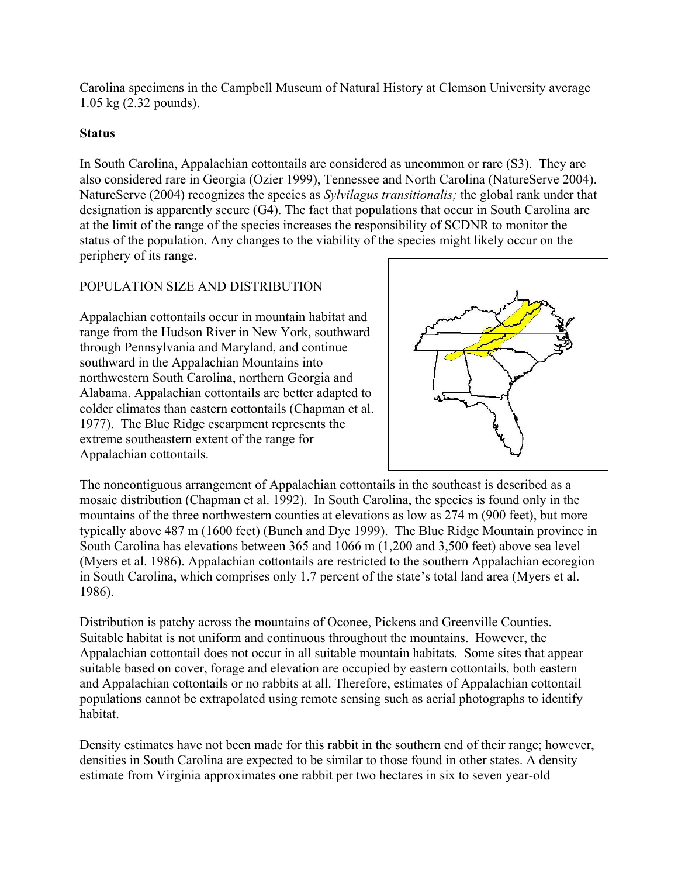Carolina specimens in the Campbell Museum of Natural History at Clemson University average 1.05 kg (2.32 pounds).

#### **Status**

In South Carolina, Appalachian cottontails are considered as uncommon or rare (S3). They are also considered rare in Georgia (Ozier 1999), Tennessee and North Carolina (NatureServe 2004). NatureServe (2004) recognizes the species as *Sylvilagus transitionalis;* the global rank under that designation is apparently secure (G4). The fact that populations that occur in South Carolina are at the limit of the range of the species increases the responsibility of SCDNR to monitor the status of the population. Any changes to the viability of the species might likely occur on the periphery of its range.

## POPULATION SIZE AND DISTRIBUTION

Appalachian cottontails occur in mountain habitat and range from the Hudson River in New York, southward through Pennsylvania and Maryland, and continue southward in the Appalachian Mountains into northwestern South Carolina, northern Georgia and Alabama. Appalachian cottontails are better adapted to colder climates than eastern cottontails (Chapman et al. 1977). The Blue Ridge escarpment represents the extreme southeastern extent of the range for Appalachian cottontails.



The noncontiguous arrangement of Appalachian cottontails in the southeast is described as a mosaic distribution (Chapman et al. 1992). In South Carolina, the species is found only in the mountains of the three northwestern counties at elevations as low as 274 m (900 feet), but more typically above 487 m (1600 feet) (Bunch and Dye 1999). The Blue Ridge Mountain province in South Carolina has elevations between 365 and 1066 m (1,200 and 3,500 feet) above sea level (Myers et al. 1986). Appalachian cottontails are restricted to the southern Appalachian ecoregion in South Carolina, which comprises only 1.7 percent of the state's total land area (Myers et al. 1986).

Distribution is patchy across the mountains of Oconee, Pickens and Greenville Counties. Suitable habitat is not uniform and continuous throughout the mountains. However, the Appalachian cottontail does not occur in all suitable mountain habitats. Some sites that appear suitable based on cover, forage and elevation are occupied by eastern cottontails, both eastern and Appalachian cottontails or no rabbits at all. Therefore, estimates of Appalachian cottontail populations cannot be extrapolated using remote sensing such as aerial photographs to identify habitat.

Density estimates have not been made for this rabbit in the southern end of their range; however, densities in South Carolina are expected to be similar to those found in other states. A density estimate from Virginia approximates one rabbit per two hectares in six to seven year-old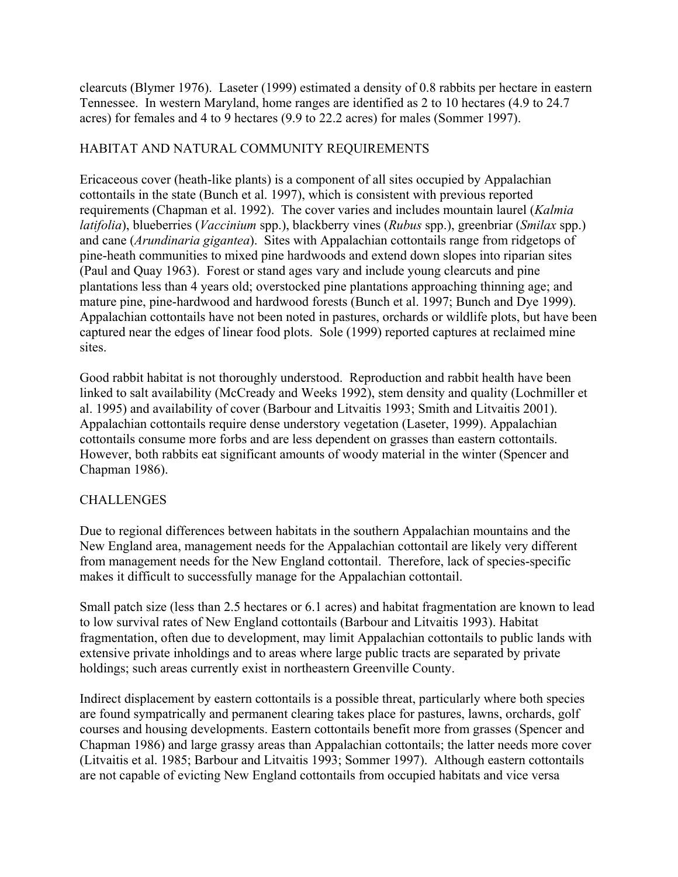clearcuts (Blymer 1976). Laseter (1999) estimated a density of 0.8 rabbits per hectare in eastern Tennessee. In western Maryland, home ranges are identified as 2 to 10 hectares (4.9 to 24.7 acres) for females and 4 to 9 hectares (9.9 to 22.2 acres) for males (Sommer 1997).

## HABITAT AND NATURAL COMMUNITY REQUIREMENTS

Ericaceous cover (heath-like plants) is a component of all sites occupied by Appalachian cottontails in the state (Bunch et al. 1997), which is consistent with previous reported requirements (Chapman et al. 1992). The cover varies and includes mountain laurel (*Kalmia latifolia*), blueberries (*Vaccinium* spp.), blackberry vines (*Rubus* spp.), greenbriar (*Smilax* spp.) and cane (*Arundinaria gigantea*). Sites with Appalachian cottontails range from ridgetops of pine-heath communities to mixed pine hardwoods and extend down slopes into riparian sites (Paul and Quay 1963). Forest or stand ages vary and include young clearcuts and pine plantations less than 4 years old; overstocked pine plantations approaching thinning age; and mature pine, pine-hardwood and hardwood forests (Bunch et al. 1997; Bunch and Dye 1999). Appalachian cottontails have not been noted in pastures, orchards or wildlife plots, but have been captured near the edges of linear food plots. Sole (1999) reported captures at reclaimed mine sites.

Good rabbit habitat is not thoroughly understood. Reproduction and rabbit health have been linked to salt availability (McCready and Weeks 1992), stem density and quality (Lochmiller et al. 1995) and availability of cover (Barbour and Litvaitis 1993; Smith and Litvaitis 2001). Appalachian cottontails require dense understory vegetation (Laseter, 1999). Appalachian cottontails consume more forbs and are less dependent on grasses than eastern cottontails. However, both rabbits eat significant amounts of woody material in the winter (Spencer and Chapman 1986).

## **CHALLENGES**

Due to regional differences between habitats in the southern Appalachian mountains and the New England area, management needs for the Appalachian cottontail are likely very different from management needs for the New England cottontail. Therefore, lack of species-specific makes it difficult to successfully manage for the Appalachian cottontail.

Small patch size (less than 2.5 hectares or 6.1 acres) and habitat fragmentation are known to lead to low survival rates of New England cottontails (Barbour and Litvaitis 1993). Habitat fragmentation, often due to development, may limit Appalachian cottontails to public lands with extensive private inholdings and to areas where large public tracts are separated by private holdings; such areas currently exist in northeastern Greenville County.

Indirect displacement by eastern cottontails is a possible threat, particularly where both species are found sympatrically and permanent clearing takes place for pastures, lawns, orchards, golf courses and housing developments. Eastern cottontails benefit more from grasses (Spencer and Chapman 1986) and large grassy areas than Appalachian cottontails; the latter needs more cover (Litvaitis et al. 1985; Barbour and Litvaitis 1993; Sommer 1997). Although eastern cottontails are not capable of evicting New England cottontails from occupied habitats and vice versa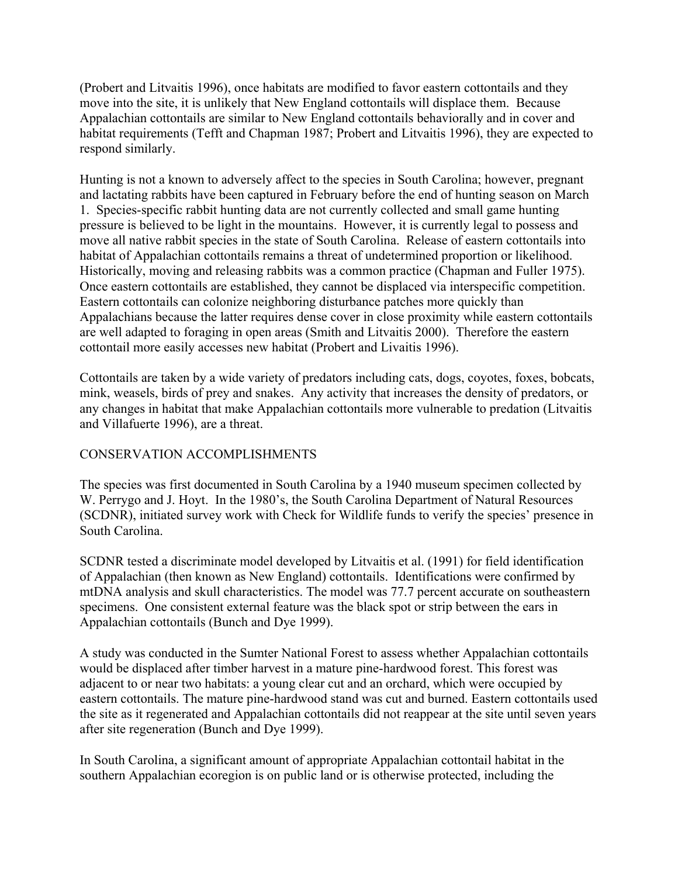(Probert and Litvaitis 1996), once habitats are modified to favor eastern cottontails and they move into the site, it is unlikely that New England cottontails will displace them. Because Appalachian cottontails are similar to New England cottontails behaviorally and in cover and habitat requirements (Tefft and Chapman 1987; Probert and Litvaitis 1996), they are expected to respond similarly.

Hunting is not a known to adversely affect to the species in South Carolina; however, pregnant and lactating rabbits have been captured in February before the end of hunting season on March 1. Species-specific rabbit hunting data are not currently collected and small game hunting pressure is believed to be light in the mountains. However, it is currently legal to possess and move all native rabbit species in the state of South Carolina. Release of eastern cottontails into habitat of Appalachian cottontails remains a threat of undetermined proportion or likelihood. Historically, moving and releasing rabbits was a common practice (Chapman and Fuller 1975). Once eastern cottontails are established, they cannot be displaced via interspecific competition. Eastern cottontails can colonize neighboring disturbance patches more quickly than Appalachians because the latter requires dense cover in close proximity while eastern cottontails are well adapted to foraging in open areas (Smith and Litvaitis 2000). Therefore the eastern cottontail more easily accesses new habitat (Probert and Livaitis 1996).

Cottontails are taken by a wide variety of predators including cats, dogs, coyotes, foxes, bobcats, mink, weasels, birds of prey and snakes. Any activity that increases the density of predators, or any changes in habitat that make Appalachian cottontails more vulnerable to predation (Litvaitis and Villafuerte 1996), are a threat.

#### CONSERVATION ACCOMPLISHMENTS

The species was first documented in South Carolina by a 1940 museum specimen collected by W. Perrygo and J. Hoyt. In the 1980's, the South Carolina Department of Natural Resources (SCDNR), initiated survey work with Check for Wildlife funds to verify the species' presence in South Carolina.

SCDNR tested a discriminate model developed by Litvaitis et al. (1991) for field identification of Appalachian (then known as New England) cottontails. Identifications were confirmed by mtDNA analysis and skull characteristics. The model was 77.7 percent accurate on southeastern specimens. One consistent external feature was the black spot or strip between the ears in Appalachian cottontails (Bunch and Dye 1999).

A study was conducted in the Sumter National Forest to assess whether Appalachian cottontails would be displaced after timber harvest in a mature pine-hardwood forest. This forest was adjacent to or near two habitats: a young clear cut and an orchard, which were occupied by eastern cottontails. The mature pine-hardwood stand was cut and burned. Eastern cottontails used the site as it regenerated and Appalachian cottontails did not reappear at the site until seven years after site regeneration (Bunch and Dye 1999).

In South Carolina, a significant amount of appropriate Appalachian cottontail habitat in the southern Appalachian ecoregion is on public land or is otherwise protected, including the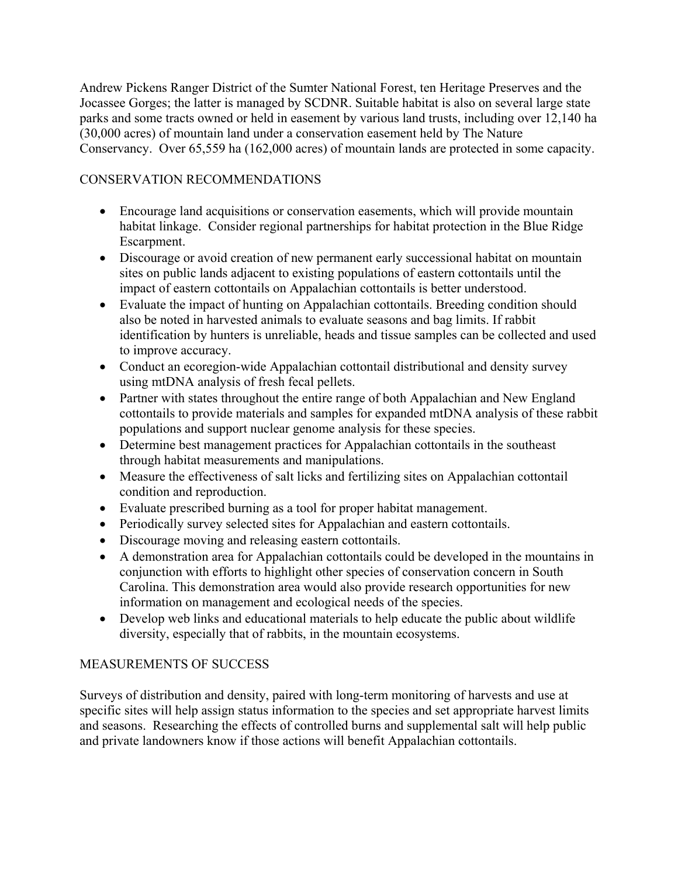Andrew Pickens Ranger District of the Sumter National Forest, ten Heritage Preserves and the Jocassee Gorges; the latter is managed by SCDNR. Suitable habitat is also on several large state parks and some tracts owned or held in easement by various land trusts, including over 12,140 ha (30,000 acres) of mountain land under a conservation easement held by The Nature Conservancy. Over 65,559 ha (162,000 acres) of mountain lands are protected in some capacity.

## CONSERVATION RECOMMENDATIONS

- Encourage land acquisitions or conservation easements, which will provide mountain habitat linkage. Consider regional partnerships for habitat protection in the Blue Ridge Escarpment.
- Discourage or avoid creation of new permanent early successional habitat on mountain sites on public lands adjacent to existing populations of eastern cottontails until the impact of eastern cottontails on Appalachian cottontails is better understood.
- Evaluate the impact of hunting on Appalachian cottontails. Breeding condition should also be noted in harvested animals to evaluate seasons and bag limits. If rabbit identification by hunters is unreliable, heads and tissue samples can be collected and used to improve accuracy.
- Conduct an ecoregion-wide Appalachian cottontail distributional and density survey using mtDNA analysis of fresh fecal pellets.
- Partner with states throughout the entire range of both Appalachian and New England cottontails to provide materials and samples for expanded mtDNA analysis of these rabbit populations and support nuclear genome analysis for these species.
- Determine best management practices for Appalachian cottontails in the southeast through habitat measurements and manipulations.
- Measure the effectiveness of salt licks and fertilizing sites on Appalachian cottontail condition and reproduction.
- Evaluate prescribed burning as a tool for proper habitat management.
- Periodically survey selected sites for Appalachian and eastern cottontails.
- Discourage moving and releasing eastern cottontails.
- A demonstration area for Appalachian cottontails could be developed in the mountains in conjunction with efforts to highlight other species of conservation concern in South Carolina. This demonstration area would also provide research opportunities for new information on management and ecological needs of the species.
- Develop web links and educational materials to help educate the public about wildlife diversity, especially that of rabbits, in the mountain ecosystems.

## MEASUREMENTS OF SUCCESS

Surveys of distribution and density, paired with long-term monitoring of harvests and use at specific sites will help assign status information to the species and set appropriate harvest limits and seasons. Researching the effects of controlled burns and supplemental salt will help public and private landowners know if those actions will benefit Appalachian cottontails.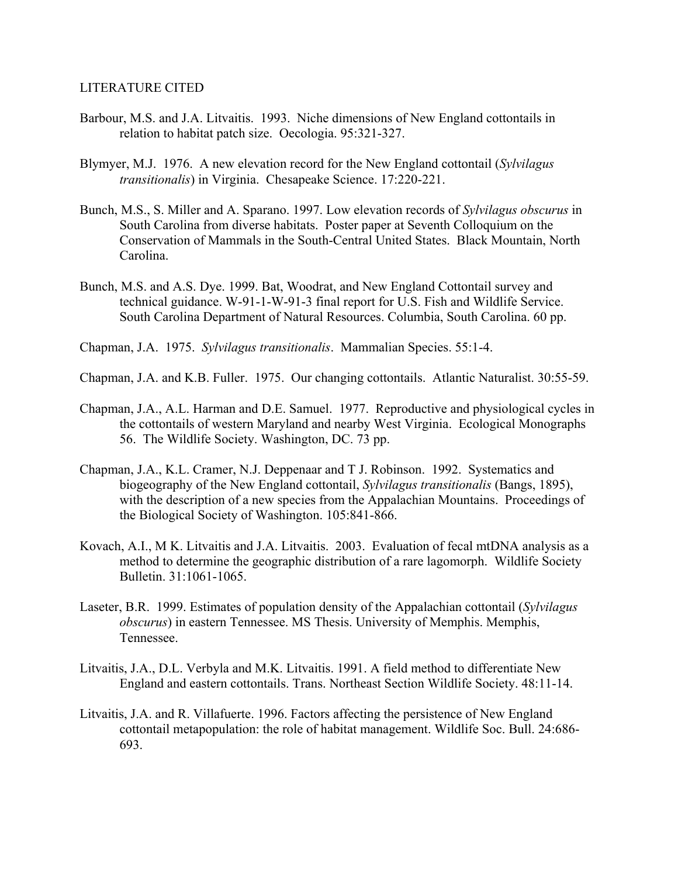#### LITERATURE CITED

- Barbour, M.S. and J.A. Litvaitis. 1993. Niche dimensions of New England cottontails in relation to habitat patch size. Oecologia. 95:321-327.
- Blymyer, M.J. 1976. A new elevation record for the New England cottontail (*Sylvilagus transitionalis*) in Virginia. Chesapeake Science. 17:220-221.
- Bunch, M.S., S. Miller and A. Sparano. 1997. Low elevation records of *Sylvilagus obscurus* in South Carolina from diverse habitats. Poster paper at Seventh Colloquium on the Conservation of Mammals in the South-Central United States. Black Mountain, North Carolina.
- Bunch, M.S. and A.S. Dye. 1999. Bat, Woodrat, and New England Cottontail survey and technical guidance. W-91-1-W-91-3 final report for U.S. Fish and Wildlife Service. South Carolina Department of Natural Resources. Columbia, South Carolina. 60 pp.
- Chapman, J.A. 1975. *Sylvilagus transitionalis*. Mammalian Species. 55:1-4.
- Chapman, J.A. and K.B. Fuller. 1975. Our changing cottontails. Atlantic Naturalist. 30:55-59.
- Chapman, J.A., A.L. Harman and D.E. Samuel. 1977. Reproductive and physiological cycles in the cottontails of western Maryland and nearby West Virginia. Ecological Monographs 56. The Wildlife Society. Washington, DC. 73 pp.
- Chapman, J.A., K.L. Cramer, N.J. Deppenaar and T J. Robinson. 1992. Systematics and biogeography of the New England cottontail, *Sylvilagus transitionalis* (Bangs, 1895), with the description of a new species from the Appalachian Mountains. Proceedings of the Biological Society of Washington. 105:841-866.
- Kovach, A.I., M K. Litvaitis and J.A. Litvaitis. 2003. Evaluation of fecal mtDNA analysis as a method to determine the geographic distribution of a rare lagomorph. Wildlife Society Bulletin. 31:1061-1065.
- Laseter, B.R. 1999. Estimates of population density of the Appalachian cottontail (*Sylvilagus obscurus*) in eastern Tennessee. MS Thesis. University of Memphis. Memphis, Tennessee.
- Litvaitis, J.A., D.L. Verbyla and M.K. Litvaitis. 1991. A field method to differentiate New England and eastern cottontails. Trans. Northeast Section Wildlife Society. 48:11-14.
- Litvaitis, J.A. and R. Villafuerte. 1996. Factors affecting the persistence of New England cottontail metapopulation: the role of habitat management. Wildlife Soc. Bull. 24:686- 693.